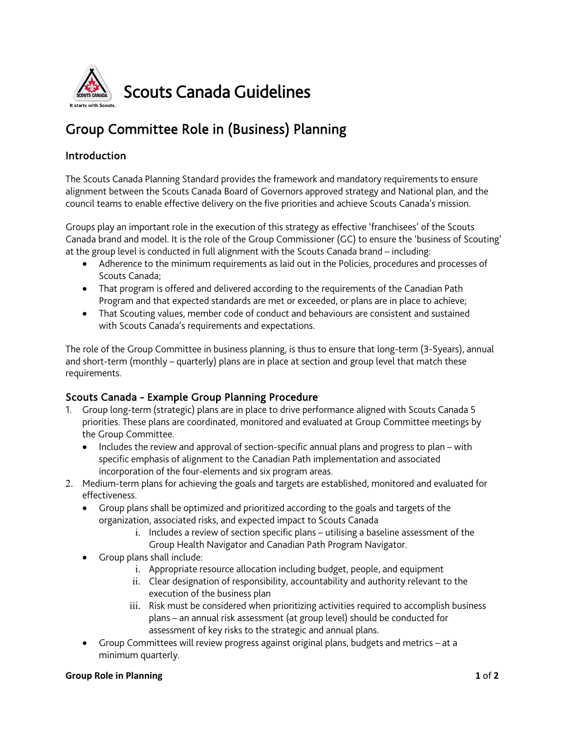

# Group Committee Role in (Business) Planning

## Introduction

The Scouts Canada Planning Standard provides the framework and mandatory requirements to ensure alignment between the Scouts Canada Board of Governors approved strategy and National plan, and the council teams to enable effective delivery on the five priorities and achieve Scouts Canada's mission.

Groups play an important role in the execution of this strategy as effective 'franchisees' of the Scouts Canada brand and model. It is the role of the Group Commissioner (GC) to ensure the 'business of Scouting' at the group level is conducted in full alignment with the Scouts Canada brand – including:

- Adherence to the minimum requirements as laid out in the Policies, procedures and processes of Scouts Canada;
- That program is offered and delivered according to the requirements of the Canadian Path Program and that expected standards are met or exceeded, or plans are in place to achieve;
- That Scouting values, member code of conduct and behaviours are consistent and sustained with Scouts Canada's requirements and expectations.

The role of the Group Committee in business planning, is thus to ensure that long-term (3-5years), annual and short-term (monthly – quarterly) plans are in place at section and group level that match these requirements.

### Scouts Canada - Example Group Planning Procedure

- 1. Group long-term (strategic) plans are in place to drive performance aligned with Scouts Canada 5 priorities. These plans are coordinated, monitored and evaluated at Group Committee meetings by the Group Committee.
	- Includes the review and approval of section-specific annual plans and progress to plan with specific emphasis of alignment to the Canadian Path implementation and associated incorporation of the four-elements and six program areas.
- 2. Medium-term plans for achieving the goals and targets are established, monitored and evaluated for effectiveness.
	- Group plans shall be optimized and prioritized according to the goals and targets of the organization, associated risks, and expected impact to Scouts Canada
		- i. Includes a review of section specific plans utilising a baseline assessment of the Group Health Navigator and Canadian Path Program Navigator.
	- Group plans shall include:
		- i. Appropriate resource allocation including budget, people, and equipment
		- ii. Clear designation of responsibility, accountability and authority relevant to the execution of the business plan
		- iii. Risk must be considered when prioritizing activities required to accomplish business plans – an annual risk assessment (at group level) should be conducted for assessment of key risks to the strategic and annual plans.
	- Group Committees will review progress against original plans, budgets and metrics at a minimum quarterly.

#### **Group Role in Planning 1** of **2**